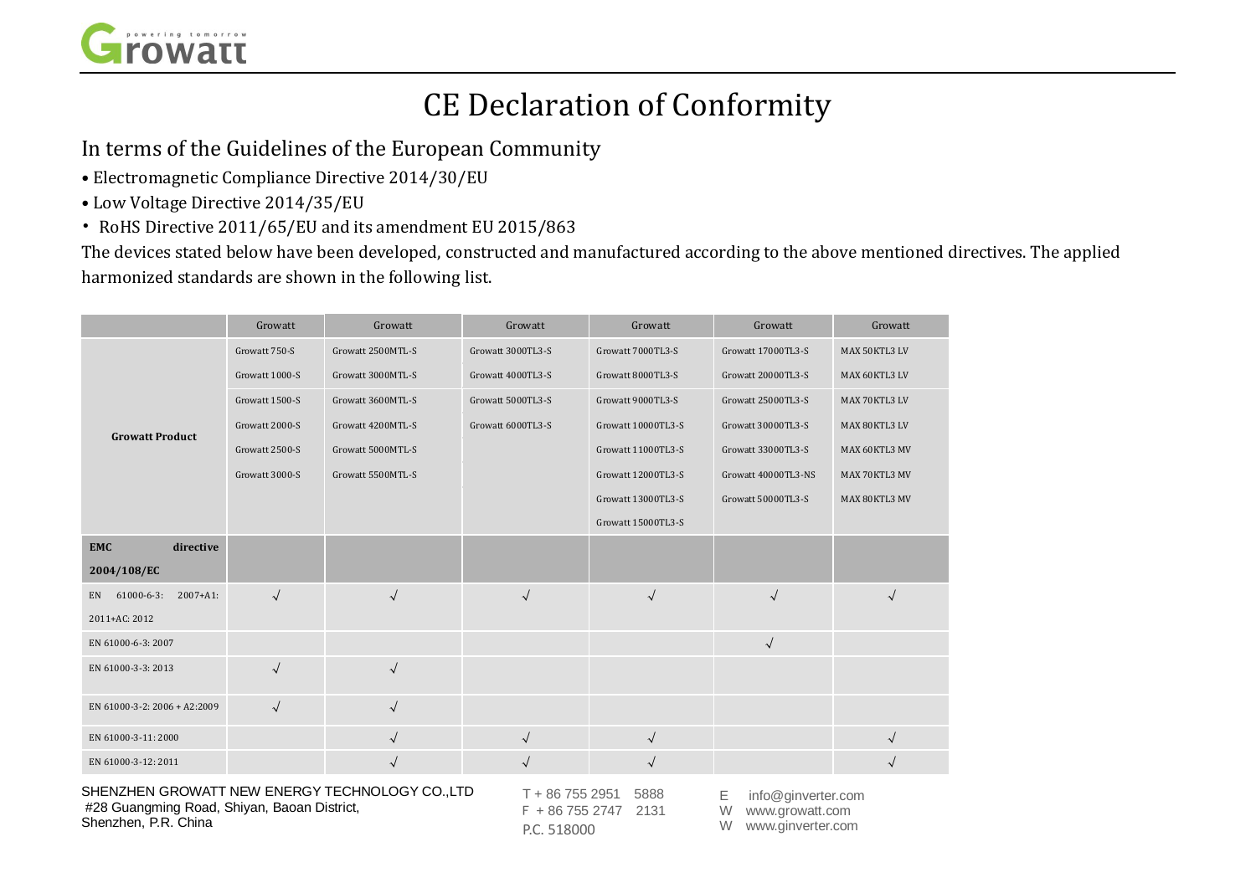

## CE Declaration of Conformity

In terms of the Guidelines of the European Community

- Electromagnetic Compliance Directive 2014/30/EU
- Low Voltage Directive 2014/35/EU
- RoHS Directive 2011/65/EU and its amendment EU 2015/863

The devices stated below have been developed, constructed and manufactured according to the above mentioned directives. The applied harmonized standards are shown in the following list.

|                                          | Growatt        | Growatt           | Growatt           | Growatt            | Growatt             | Growatt       |
|------------------------------------------|----------------|-------------------|-------------------|--------------------|---------------------|---------------|
| <b>Growatt Product</b>                   | Growatt 750-S  | Growatt 2500MTL-S | Growatt 3000TL3-S | Growatt 7000TL3-S  | Growatt 17000TL3-S  | MAX 50KTL3 LV |
|                                          | Growatt 1000-S | Growatt 3000MTL-S | Growatt 4000TL3-S | Growatt 8000TL3-S  | Growatt 20000TL3-S  | MAX 60KTL3 LV |
|                                          | Growatt 1500-S | Growatt 3600MTL-S | Growatt 5000TL3-S | Growatt 9000TL3-S  | Growatt 25000TL3-S  | MAX 70KTL3 LV |
|                                          | Growatt 2000-S | Growatt 4200MTL-S | Growatt 6000TL3-S | Growatt 10000TL3-S | Growatt 30000TL3-S  | MAX 80KTL3 LV |
|                                          | Growatt 2500-S | Growatt 5000MTL-S |                   | Growatt 11000TL3-S | Growatt 33000TL3-S  | MAX 60KTL3 MV |
|                                          | Growatt 3000-S | Growatt 5500MTL-S |                   | Growatt 12000TL3-S | Growatt 40000TL3-NS | MAX 70KTL3 MV |
|                                          |                |                   |                   | Growatt 13000TL3-S | Growatt 50000TL3-S  | MAX 80KTL3 MV |
|                                          |                |                   |                   | Growatt 15000TL3-S |                     |               |
| <b>EMC</b><br>directive                  |                |                   |                   |                    |                     |               |
| 2004/108/EC                              |                |                   |                   |                    |                     |               |
| $61000 - 6 - 3$ :<br>$2007 + A1$ :<br>EN | $\sqrt{ }$     | $\sqrt{ }$        | $\sqrt{ }$        | $\sqrt{ }$         | $\sqrt{ }$          | $\sqrt{ }$    |
| 2011+AC: 2012                            |                |                   |                   |                    |                     |               |
| EN 61000-6-3: 2007                       |                |                   |                   |                    | $\sqrt{2}$          |               |
| EN 61000-3-3: 2013                       | $\sqrt{}$      | $\sqrt{ }$        |                   |                    |                     |               |
| EN 61000-3-2: 2006 + A2:2009             | $\sqrt{ }$     | $\sqrt{ }$        |                   |                    |                     |               |
| EN 61000-3-11:2000                       |                | $\sqrt{ }$        | $\sqrt{2}$        | $\sqrt{ }$         |                     | $\sqrt{ }$    |
| EN 61000-3-12: 2011                      |                | $\sqrt{ }$        | $\sqrt{ }$        | $\checkmark$       |                     |               |

SHENZHEN GROWATT NEW ENERGY TECHNOLOGY CO.,LTD #28 Guangming Road, Shiyan, Baoan District, Shenzhen, P.R. China

T + 86 755 2951 5888 F + 86 755 2747 2131 P.C. 518000

E info@ginverter.com W www.growatt.com W www.ginverter.com